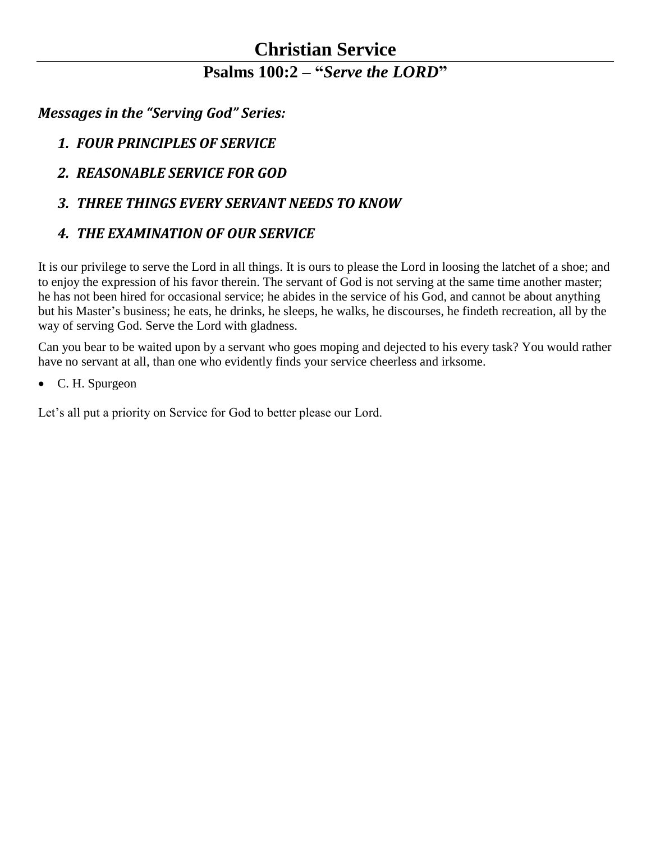#### **Christian Service Psalms 100:2 – "***Serve the LORD***"**

*Messages in the "Serving God" Series:*

- *1. FOUR PRINCIPLES OF SERVICE*
- *2. REASONABLE SERVICE FOR GOD*
- *3. THREE THINGS EVERY SERVANT NEEDS TO KNOW*

#### *4. THE EXAMINATION OF OUR SERVICE*

It is our privilege to serve the Lord in all things. It is ours to please the Lord in loosing the latchet of a shoe; and to enjoy the expression of his favor therein. The servant of God is not serving at the same time another master; he has not been hired for occasional service; he abides in the service of his God, and cannot be about anything but his Master's business; he eats, he drinks, he sleeps, he walks, he discourses, he findeth recreation, all by the way of serving God. Serve the Lord with gladness.

Can you bear to be waited upon by a servant who goes moping and dejected to his every task? You would rather have no servant at all, than one who evidently finds your service cheerless and irksome.

C. H. Spurgeon

Let's all put a priority on Service for God to better please our Lord.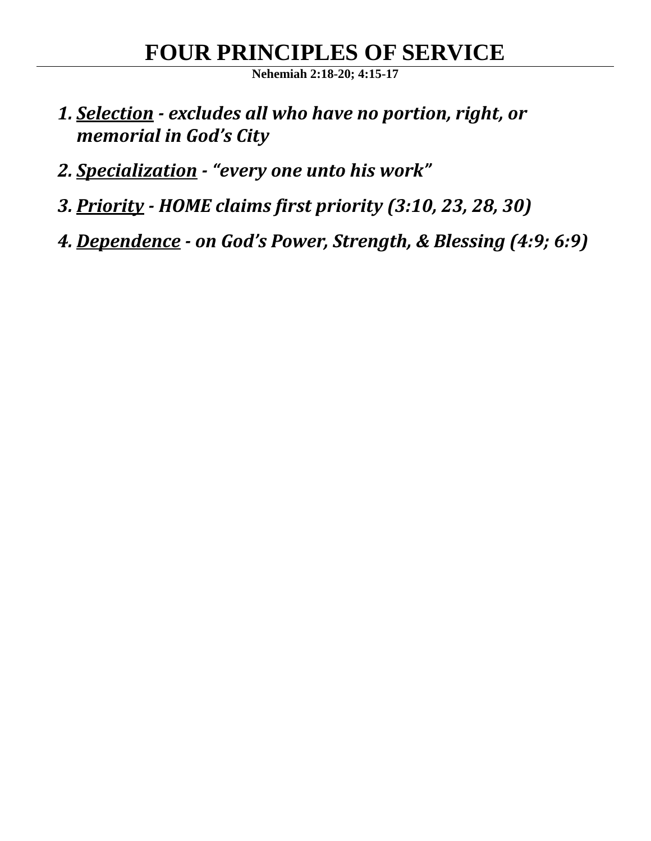# **FOUR PRINCIPLES OF SERVICE**

**Nehemiah 2:18-20; 4:15-17**

- *1. Selection - excludes all who have no portion, right, or memorial in God's City*
- *2. Specialization - "every one unto his work"*
- *3. Priority - HOME claims first priority (3:10, 23, 28, 30)*
- *4. Dependence - on God's Power, Strength, & Blessing (4:9; 6:9)*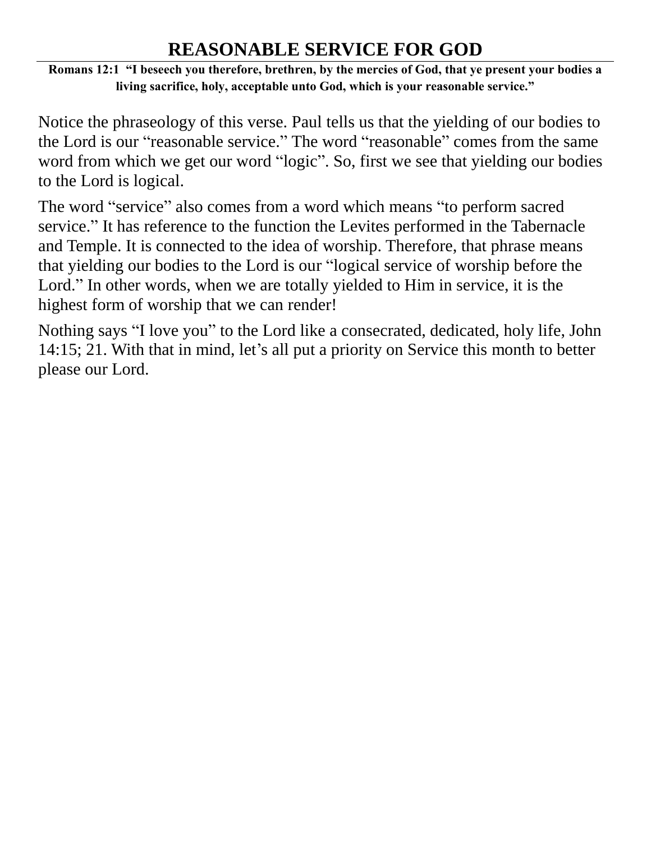#### **REASONABLE SERVICE FOR GOD**

**Romans 12:1 "I beseech you therefore, brethren, by the mercies of God, that ye present your bodies a living sacrifice, holy, acceptable unto God, which is your reasonable service."** 

Notice the phraseology of this verse. Paul tells us that the yielding of our bodies to the Lord is our "reasonable service." The word "reasonable" comes from the same word from which we get our word "logic". So, first we see that yielding our bodies to the Lord is logical.

The word "service" also comes from a word which means "to perform sacred service." It has reference to the function the Levites performed in the Tabernacle and Temple. It is connected to the idea of worship. Therefore, that phrase means that yielding our bodies to the Lord is our "logical service of worship before the Lord." In other words, when we are totally yielded to Him in service, it is the highest form of worship that we can render!

Nothing says "I love you" to the Lord like a consecrated, dedicated, holy life, John 14:15; 21. With that in mind, let's all put a priority on Service this month to better please our Lord.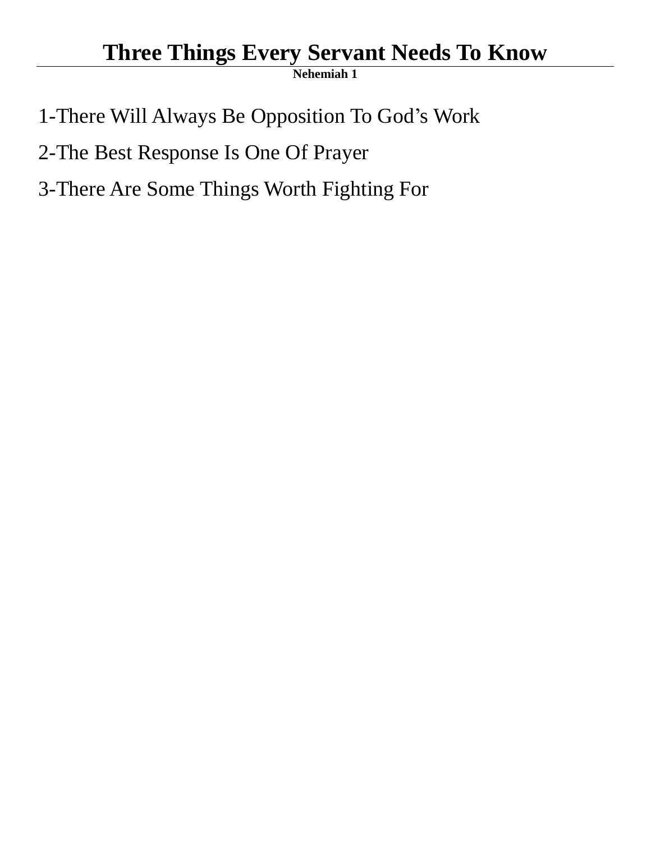## **Three Things Every Servant Needs To Know**

**Nehemiah 1**

1-There Will Always Be Opposition To God's Work

2-The Best Response Is One Of Prayer

3-There Are Some Things Worth Fighting For